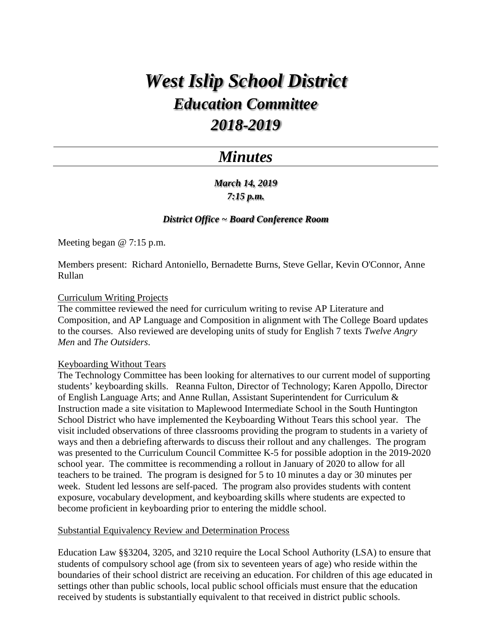# *West Islip School District Education Committee 2018-2019*

# *Minutes*

# *March 14, 2019 7:15 p.m.*

## *District Office ~ Board Conference Room*

Meeting began @ 7:15 p.m.

Members present: Richard Antoniello, Bernadette Burns, Steve Gellar, Kevin O'Connor, Anne Rullan

#### Curriculum Writing Projects

The committee reviewed the need for curriculum writing to revise AP Literature and Composition, and AP Language and Composition in alignment with The College Board updates to the courses. Also reviewed are developing units of study for English 7 texts *Twelve Angry Men* and *The Outsiders*.

### Keyboarding Without Tears

The Technology Committee has been looking for alternatives to our current model of supporting students' keyboarding skills. Reanna Fulton, Director of Technology; Karen Appollo, Director of English Language Arts; and Anne Rullan, Assistant Superintendent for Curriculum & Instruction made a site visitation to Maplewood Intermediate School in the South Huntington School District who have implemented the Keyboarding Without Tears this school year. The visit included observations of three classrooms providing the program to students in a variety of ways and then a debriefing afterwards to discuss their rollout and any challenges. The program was presented to the Curriculum Council Committee K-5 for possible adoption in the 2019-2020 school year. The committee is recommending a rollout in January of 2020 to allow for all teachers to be trained. The program is designed for 5 to 10 minutes a day or 30 minutes per week. Student led lessons are self-paced. The program also provides students with content exposure, vocabulary development, and keyboarding skills where students are expected to become proficient in keyboarding prior to entering the middle school.

#### Substantial Equivalency Review and Determination Process

Education Law §§3204, 3205, and 3210 require the Local School Authority (LSA) to ensure that students of compulsory school age (from six to seventeen years of age) who reside within the boundaries of their school district are receiving an education. For children of this age educated in settings other than public schools, local public school officials must ensure that the education received by students is substantially equivalent to that received in district public schools.